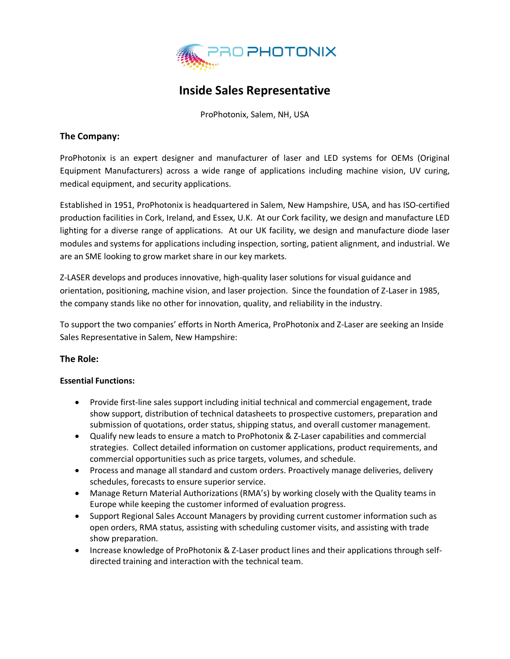

# **Inside Sales Representative**

ProPhotonix, Salem, NH, USA

## **The Company:**

ProPhotonix is an expert designer and manufacturer of laser and LED systems for OEMs (Original Equipment Manufacturers) across a wide range of applications including machine vision, UV curing, medical equipment, and security applications.

Established in 1951, ProPhotonix is headquartered in Salem, New Hampshire, USA, and has ISO-certified production facilities in Cork, Ireland, and Essex, U.K. At our Cork facility, we design and manufacture LED lighting for a diverse range of applications. At our UK facility, we design and manufacture diode laser modules and systems for applications including inspection, sorting, patient alignment, and industrial. We are an SME looking to grow market share in our key markets.

Z-LASER develops and produces innovative, high-quality laser solutions for visual guidance and orientation, positioning, machine vision, and laser projection. Since the foundation of Z-Laser in 1985, the company stands like no other for innovation, quality, and reliability in the industry.

To support the two companies' efforts in North America, ProPhotonix and Z-Laser are seeking an Inside Sales Representative in Salem, New Hampshire:

## **The Role:**

## **Essential Functions:**

- Provide first-line sales support including initial technical and commercial engagement, trade show support, distribution of technical datasheets to prospective customers, preparation and submission of quotations, order status, shipping status, and overall customer management.
- Qualify new leads to ensure a match to ProPhotonix & Z-Laser capabilities and commercial strategies. Collect detailed information on customer applications, product requirements, and commercial opportunities such as price targets, volumes, and schedule.
- Process and manage all standard and custom orders. Proactively manage deliveries, delivery schedules, forecasts to ensure superior service.
- Manage Return Material Authorizations (RMA's) by working closely with the Quality teams in Europe while keeping the customer informed of evaluation progress.
- Support Regional Sales Account Managers by providing current customer information such as open orders, RMA status, assisting with scheduling customer visits, and assisting with trade show preparation.
- Increase knowledge of ProPhotonix & Z-Laser product lines and their applications through selfdirected training and interaction with the technical team.